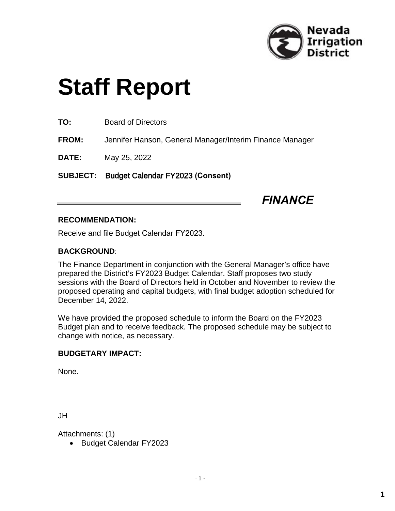

# **Staff Report**

**TO:** Board of Directors

**FROM:** Jennifer Hanson, General Manager/Interim Finance Manager

**DATE:** May 25, 2022

**SUBJECT:** Budget Calendar FY2023 **(Consent)**

*FINANCE*

#### **RECOMMENDATION:**

Receive and file Budget Calendar FY2023.

### **BACKGROUND**:

The Finance Department in conjunction with the General Manager's office have prepared the District's FY2023 Budget Calendar. Staff proposes two study sessions with the Board of Directors held in October and November to review the proposed operating and capital budgets, with final budget adoption scheduled for December 14, 2022.

We have provided the proposed schedule to inform the Board on the FY2023 Budget plan and to receive feedback. The proposed schedule may be subject to change with notice, as necessary.

#### **BUDGETARY IMPACT:**

None.

JH

Attachments: (1)

Budget Calendar FY2023